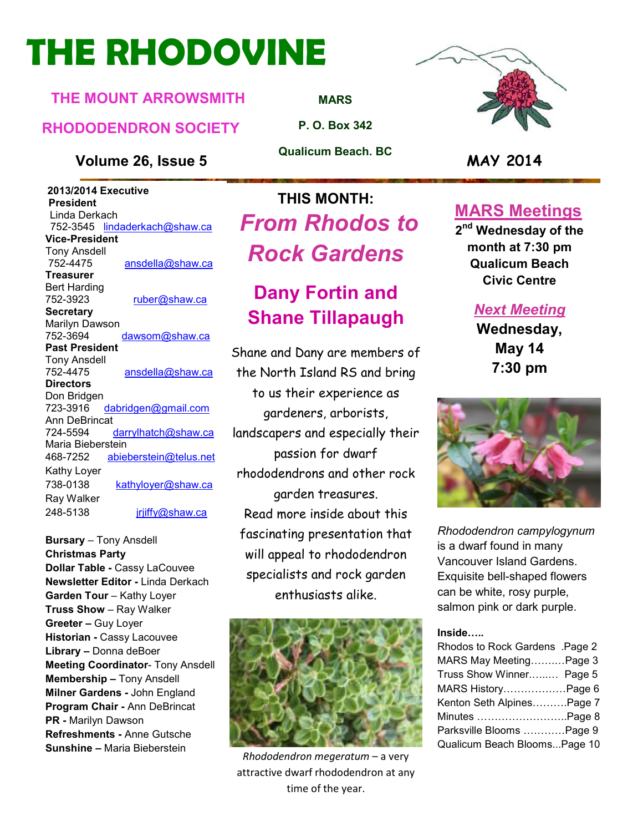# **THE RHODOVINE**

### **THE MOUNT ARROWSMITH**

### **RHODODENDRON SOCIETY**

### **Volume 26, Issue 5 MAY 2014**

 **2013/2014 Executive President**  Linda Derkach 752-3545 lindaderkach@shaw.ca **Vice-President**  Tony Ansdell 752-4475 ansdella@shaw.ca **Treasurer**  Bert Harding 752-3923 ruber@shaw.ca **Secretary** Marilyn Dawson 752-3694 dawsom@shaw.ca **Past President**  Tony Ansdell 752-4475 ansdella@shaw.ca **Directors**  Don Bridgen 723-3916 dabridgen@gmail.com Ann DeBrincat<br>724-5594 darrylhatch@shaw.ca Maria Bieberstein 468-7252 abieberstein@telus.net Kathy Loyer 738-0138 kathyloyer@shaw.ca Ray Walker 248-5138 jrjiffy@shaw.ca

**Bursary** – Tony Ansdell **Christmas Party Dollar Table -** Cassy LaCouvee **Newsletter Editor -** Linda Derkach **Garden Tour** – Kathy Loyer **Truss Show** – Ray Walker **Greeter –** Guy Loyer **Historian -** Cassy Lacouvee **Library –** Donna deBoer **Meeting Coordinator**- Tony Ansdell **Membership –** Tony Ansdell **Milner Gardens -** John England **Program Chair -** Ann DeBrincat **PR -** Marilyn Dawson **Refreshments -** Anne Gutsche **Sunshine –** Maria Bieberstein

**MARS**

**P. O. Box 342** 

**Qualicum Beach. BC** 

### **THIS MONTH:**  *From Rhodos to Rock Gardens*

### **Dany Fortin and Shane Tillapaugh**

Shane and Dany are members of the North Island RS and bring to us their experience as gardeners, arborists, landscapers and especially their passion for dwarf rhododendrons and other rock garden treasures. Read more inside about this fascinating presentation that will appeal to rhododendron specialists and rock garden enthusiasts alike.



*Rhododendron megeratum* – a very attractive dwarf rhododendron at any time of the year.



### **MARS Meetings**

**2 nd Wednesday of the month at 7:30 pm Qualicum Beach Civic Centre** 

### *Next Meeting*

**Wednesday, May 14 7:30 pm** 



*Rhododendron campylogynum* is a dwarf found in many Vancouver Island Gardens. Exquisite bell-shaped flowers can be white, rosy purple, salmon pink or dark purple.

#### **Inside:..**

| Rhodos to Rock Gardens .Page 2 |  |
|--------------------------------|--|
| MARS May MeetingPage 3         |  |
| Truss Show Winner Page 5       |  |
| MARS HistoryPage 6             |  |
| Kenton Seth AlpinesPage 7      |  |
| Minutes Page 8                 |  |
| Parksville Blooms Page 9       |  |
| Qualicum Beach BloomsPage 10   |  |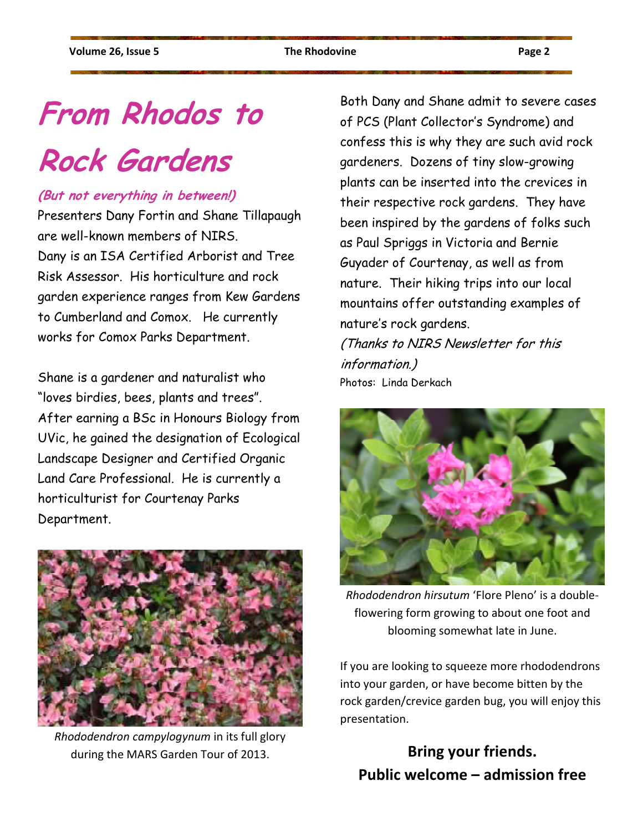# **From Rhodos to**

# **Rock Gardens**

### **(But not everything in between!)**

Presenters Dany Fortin and Shane Tillapaugh are well-known members of NIRS. Dany is an ISA Certified Arborist and Tree Risk Assessor. His horticulture and rock garden experience ranges from Kew Gardens to Cumberland and Comox. He currently works for Comox Parks Department.

Shane is a gardener and naturalist who "loves birdies, bees, plants and trees". After earning a BSc in Honours Biology from UVic, he gained the designation of Ecological Landscape Designer and Certified Organic Land Care Professional. He is currently a horticulturist for Courtenay Parks Department.



*Rhododendron campylogynum* in its full glory during the MARS Garden Tour of 2013.

Both Dany and Shane admit to severe cases of PCS (Plant Collector's Syndrome) and confess this is why they are such avid rock gardeners. Dozens of tiny slow-growing plants can be inserted into the crevices in their respective rock gardens. They have been inspired by the gardens of folks such as Paul Spriggs in Victoria and Bernie Guyader of Courtenay, as well as from nature. Their hiking trips into our local mountains offer outstanding examples of nature's rock gardens.

(Thanks to NIRS Newsletter for this information.) Photos: Linda Derkach



*Rhododendron hirsutum* 'Flore Pleno' is a doubleflowering form growing to about one foot and blooming somewhat late in June.

If you are looking to squeeze more rhododendrons into your garden, or have become bitten by the rock garden/crevice garden bug, you will enjoy this presentation.

### **Bring your friends. Public welcome – admission free**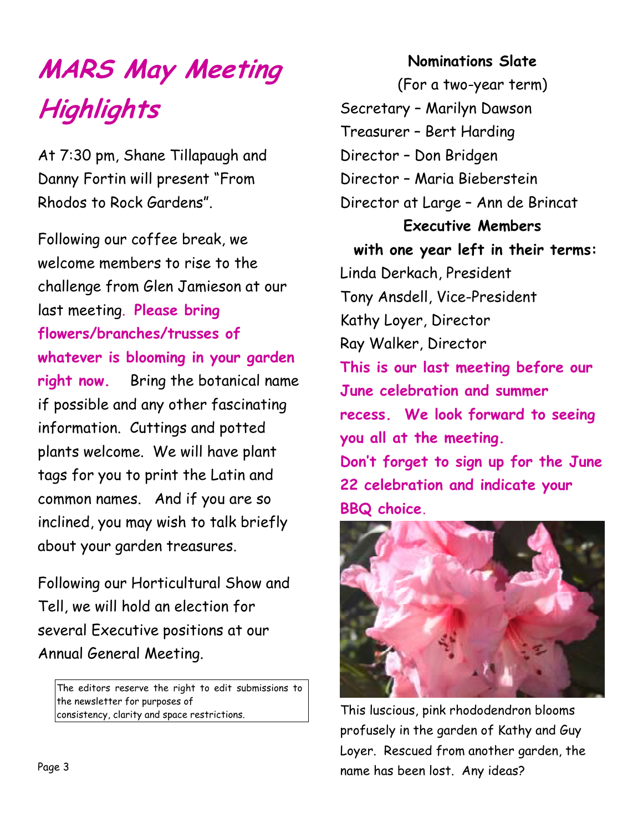# **MARS May Meeting Highlights**

At 7:30 pm, Shane Tillapaugh and Danny Fortin will present "From Rhodos to Rock Gardens".

Following our coffee break, we welcome members to rise to the challenge from Glen Jamieson at our last meeting. **Please bring flowers/branches/trusses of whatever is blooming in your garden right now.** Bring the botanical name if possible and any other fascinating information. Cuttings and potted plants welcome. We will have plant tags for you to print the Latin and common names. And if you are so inclined, you may wish to talk briefly about your garden treasures.

Following our Horticultural Show and Tell, we will hold an election for several Executive positions at our Annual General Meeting.

The editors reserve the right to edit submissions to the newsletter for purposes of consistency, clarity and space restrictions.

### **Nominations Slate**

(For a two-year term) Secretary – Marilyn Dawson Treasurer – Bert Harding Director – Don Bridgen Director – Maria Bieberstein Director at Large – Ann de Brincat **Executive Members with one year left in their terms:**  Linda Derkach, President Tony Ansdell, Vice-President Kathy Loyer, Director Ray Walker, Director **This is our last meeting before our June celebration and summer recess. We look forward to seeing you all at the meeting. Don't forget to sign up for the June 22 celebration and indicate your BBQ choice.** 



This luscious, pink rhododendron blooms profusely in the garden of Kathy and Guy Loyer. Rescued from another garden, the name has been lost. Any ideas?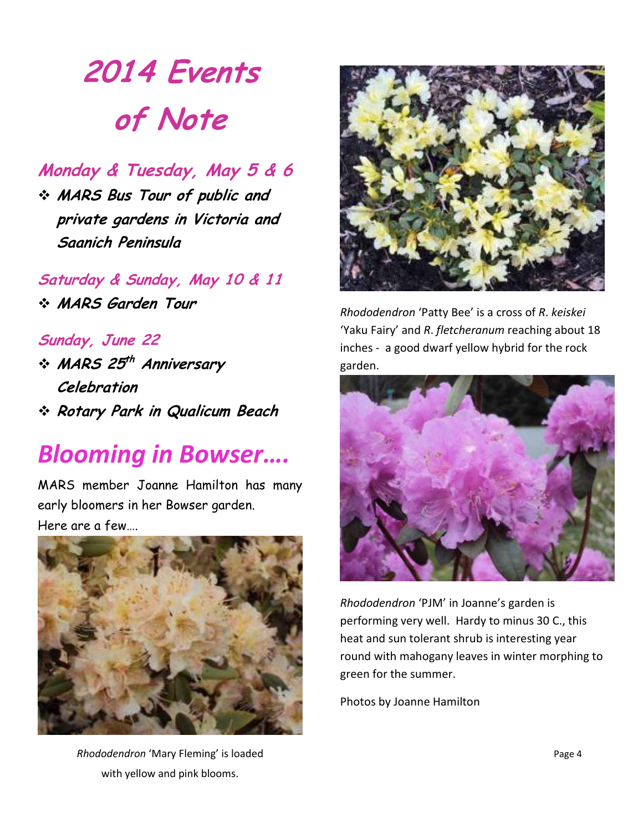# **2014 Events of Note**

### **Monday & Tuesday, May 5 & 6**

 **MARS Bus Tour of public and private gardens in Victoria and Saanich Peninsula** 

**Saturday & Sunday, May 10 & 11 MARS Garden Tour** 

**Sunday, June 22**   $\div$  MARS 25<sup>th</sup> Anniversary **Celebration Rotary Park in Qualicum Beach** 

## *Blooming in Bowser….*

MARS member Joanne Hamilton has many early bloomers in her Bowser garden. Here are a few….



*Rhododendron* 'Mary Fleming' is loaded with yellow and pink blooms.



*Rhododendron* 'Patty Bee' is a cross of *R*. *keiskei*  'Yaku Fairy' and *R*. *fletcheranum* reaching about 18 inches - a good dwarf yellow hybrid for the rock garden.



*Rhododendron* 'PJM' in Joanne's garden is performing very well. Hardy to minus 30 C., this heat and sun tolerant shrub is interesting year round with mahogany leaves in winter morphing to green for the summer.

Photos by Joanne Hamilton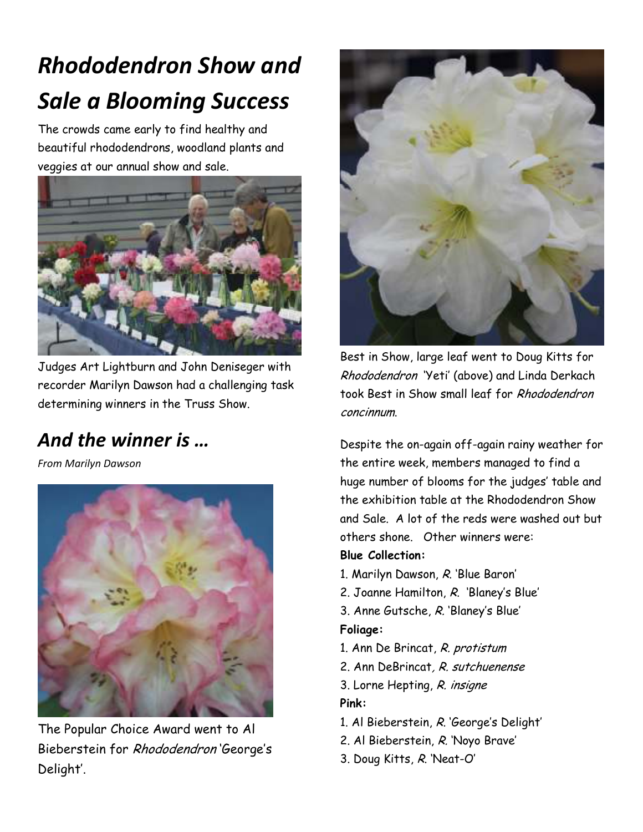# *Rhododendron Show and Sale a Blooming Success*

The crowds came early to find healthy and beautiful rhododendrons, woodland plants and veggies at our annual show and sale.



Judges Art Lightburn and John Deniseger with recorder Marilyn Dawson had a challenging task determining winners in the Truss Show.

### *And the winner is …*

*From Marilyn Dawson* 



The Popular Choice Award went to Al Bieberstein for Rhododendron 'George's Delight'.



Best in Show, large leaf went to Doug Kitts for Rhododendron 'Yeti' (above) and Linda Derkach took Best in Show small leaf for Rhododendron concinnum.

Despite the on-again off-again rainy weather for the entire week, members managed to find a huge number of blooms for the judges' table and the exhibition table at the Rhododendron Show and Sale. A lot of the reds were washed out but others shone. Other winners were: **Blue Collection:** 

- 1. Marilyn Dawson, R. 'Blue Baron'
- 2. Joanne Hamilton, R. 'Blaney's Blue'
- 3. Anne Gutsche, R. 'Blaney's Blue' **Foliage:**
- 1. Ann De Brincat, R. protistum
- 2. Ann DeBrincat, R. sutchuenense
- 3. Lorne Hepting, R. insigne **Pink:**
- 1. Al Bieberstein, R. 'George's Delight'
- 2. Al Bieberstein, R. 'Noyo Brave'
- 3. Doug Kitts, R. 'Neat-O'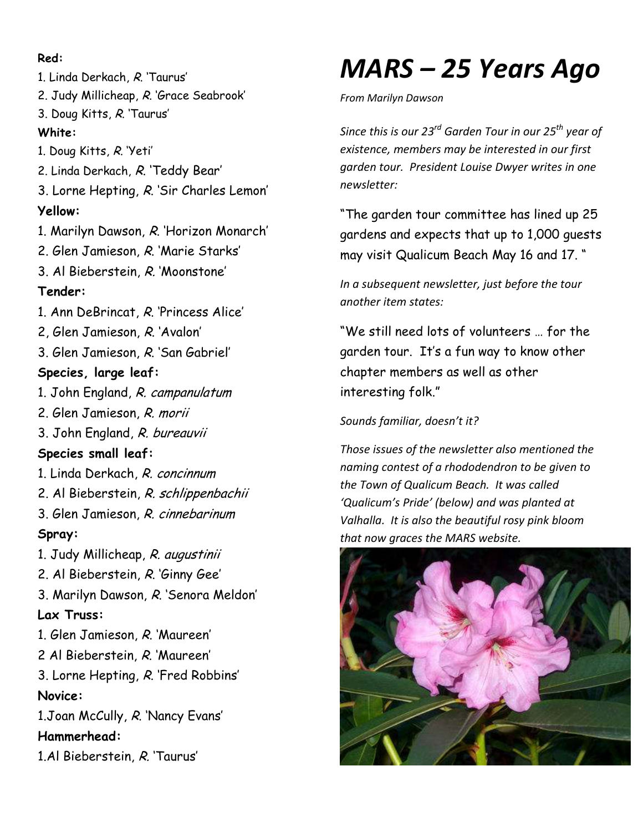#### **Red:**

1. Linda Derkach, R. 'Taurus' 2. Judy Millicheap, R. 'Grace Seabrook' 3. Doug Kitts, R. 'Taurus' **White:**  1. Doug Kitts, R. 'Yeti' 2. Linda Derkach, R. 'Teddy Bear' 3. Lorne Hepting, R. 'Sir Charles Lemon' **Yellow:**  1. Marilyn Dawson, R. 'Horizon Monarch' 2. Glen Jamieson, R. 'Marie Starks' 3. Al Bieberstein, R. 'Moonstone' **Tender:**  1. Ann DeBrincat, R. 'Princess Alice' 2, Glen Jamieson, R. 'Avalon' 3. Glen Jamieson, R. 'San Gabriel' **Species, large leaf:**  1. John England, R. campanulatum 2. Glen Jamieson, R. morii 3. John England, R. bureauvii **Species small leaf:**  1. Linda Derkach, R. concinnum 2. Al Bieberstein, R. schlippenbachii 3. Glen Jamieson, R. cinnebarinum **Spray:**  1. Judy Millicheap, R. augustinii 2. Al Bieberstein, R. 'Ginny Gee' 3. Marilyn Dawson, R. 'Senora Meldon' **Lax Truss:**  1. Glen Jamieson, R. 'Maureen' 2 Al Bieberstein, R. 'Maureen' 3. Lorne Hepting, R. 'Fred Robbins' **Novice:**  1.Joan McCully, R. 'Nancy Evans' **Hammerhead:**  1.Al Bieberstein, R. 'Taurus'

## *MARS – 25 Years Ago*

*From Marilyn Dawson* 

*Since this is our 23rd Garden Tour in our 25th year of existence, members may be interested in our first garden tour. President Louise Dwyer writes in one newsletter:* 

"The garden tour committee has lined up 25 gardens and expects that up to 1,000 guests may visit Qualicum Beach May 16 and 17. "

*In a subsequent newsletter, just before the tour another item states:* 

"We still need lots of volunteers … for the garden tour. It's a fun way to know other chapter members as well as other interesting folk."

*Sounds familiar, doesn't it?* 

*Those issues of the newsletter also mentioned the naming contest of a rhododendron to be given to the Town of Qualicum Beach. It was called 'Qualicum's Pride' (below) and was planted at Valhalla. It is also the beautiful rosy pink bloom that now graces the MARS website.* 

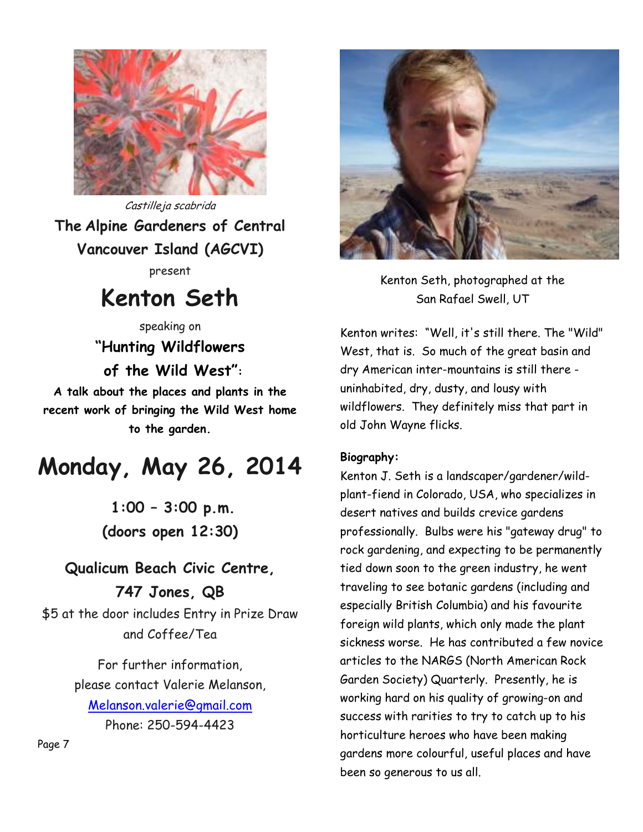

Castilleja scabrida **The Alpine Gardeners of Central Vancouver Island (AGCVI)** present

## **Kenton Seth**

speaking on **"Hunting Wildflowers of the Wild West":** 

**A talk about the places and plants in the recent work of bringing the Wild West home to the garden.** 

## **Monday, May 26, 2014**

 **1:00 – 3:00 p.m. (doors open 12:30)** 

### **Qualicum Beach Civic Centre, 747 Jones, QB**

\$5 at the door includes Entry in Prize Draw and Coffee/Tea

> For further information, please contact Valerie Melanson, Melanson.valerie@gmail.com Phone: 250-594-4423



Kenton Seth, photographed at the San Rafael Swell, UT

Kenton writes: "Well, it's still there. The "Wild" West, that is. So much of the great basin and dry American inter-mountains is still there uninhabited, dry, dusty, and lousy with wildflowers. They definitely miss that part in old John Wayne flicks.

#### **Biography:**

Kenton J. Seth is a landscaper/gardener/wildplant-fiend in Colorado, USA, who specializes in desert natives and builds crevice gardens professionally. Bulbs were his "gateway drug" to rock gardening, and expecting to be permanently tied down soon to the green industry, he went traveling to see botanic gardens (including and especially British Columbia) and his favourite foreign wild plants, which only made the plant sickness worse. He has contributed a few novice articles to the NARGS (North American Rock Garden Society) Quarterly. Presently, he is working hard on his quality of growing-on and success with rarities to try to catch up to his horticulture heroes who have been making gardens more colourful, useful places and have been so generous to us all.

Page 7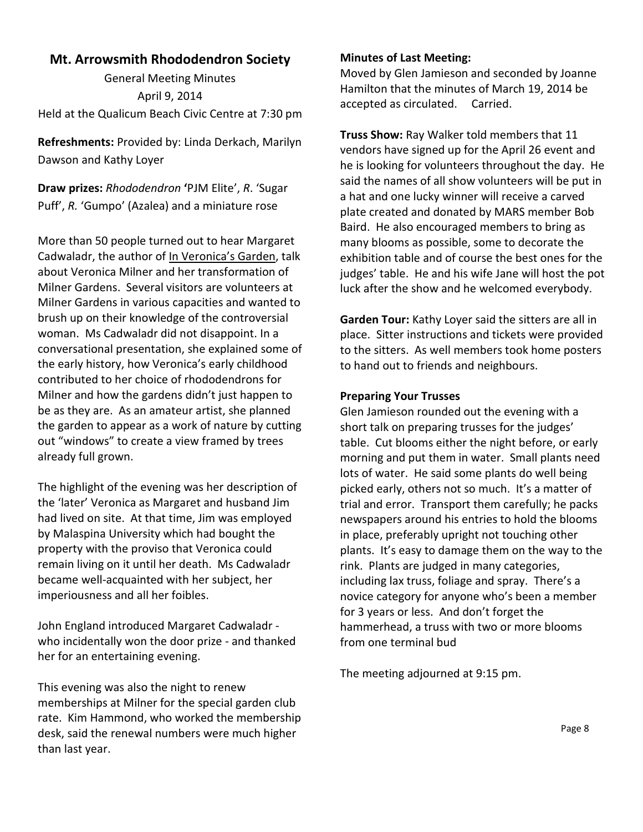#### **Mt. Arrowsmith Rhododendron Society**

General Meeting Minutes April 9, 2014 Held at the Qualicum Beach Civic Centre at 7:30 pm

**Refreshments:** Provided by: Linda Derkach, Marilyn Dawson and Kathy Loyer

**Draw prizes:** *Rhododendron* **'**PJM Elite', *R*. 'Sugar Puff', *R.* 'Gumpo' (Azalea) and a miniature rose

More than 50 people turned out to hear Margaret Cadwaladr, the author of In Veronica's Garden, talk about Veronica Milner and her transformation of Milner Gardens. Several visitors are volunteers at Milner Gardens in various capacities and wanted to brush up on their knowledge of the controversial woman. Ms Cadwaladr did not disappoint. In a conversational presentation, she explained some of the early history, how Veronica's early childhood contributed to her choice of rhododendrons for Milner and how the gardens didn't just happen to be as they are. As an amateur artist, she planned the garden to appear as a work of nature by cutting out "windows" to create a view framed by trees already full grown.

The highlight of the evening was her description of the 'later' Veronica as Margaret and husband Jim had lived on site. At that time, Jim was employed by Malaspina University which had bought the property with the proviso that Veronica could remain living on it until her death. Ms Cadwaladr became well-acquainted with her subject, her imperiousness and all her foibles.

John England introduced Margaret Cadwaladr who incidentally won the door prize - and thanked her for an entertaining evening.

This evening was also the night to renew memberships at Milner for the special garden club rate. Kim Hammond, who worked the membership desk, said the renewal numbers were much higher than last year.

#### **Minutes of Last Meeting:**

Moved by Glen Jamieson and seconded by Joanne Hamilton that the minutes of March 19, 2014 be accepted as circulated. Carried.

**Truss Show:** Ray Walker told members that 11 vendors have signed up for the April 26 event and he is looking for volunteers throughout the day. He said the names of all show volunteers will be put in a hat and one lucky winner will receive a carved plate created and donated by MARS member Bob Baird. He also encouraged members to bring as many blooms as possible, some to decorate the exhibition table and of course the best ones for the judges' table. He and his wife Jane will host the pot luck after the show and he welcomed everybody.

**Garden Tour:** Kathy Loyer said the sitters are all in place. Sitter instructions and tickets were provided to the sitters. As well members took home posters to hand out to friends and neighbours.

#### **Preparing Your Trusses**

Glen Jamieson rounded out the evening with a short talk on preparing trusses for the judges' table. Cut blooms either the night before, or early morning and put them in water. Small plants need lots of water. He said some plants do well being picked early, others not so much. It's a matter of trial and error. Transport them carefully; he packs newspapers around his entries to hold the blooms in place, preferably upright not touching other plants. It's easy to damage them on the way to the rink. Plants are judged in many categories, including lax truss, foliage and spray. There's a novice category for anyone who's been a member for 3 years or less. And don't forget the hammerhead, a truss with two or more blooms from one terminal bud

The meeting adjourned at 9:15 pm.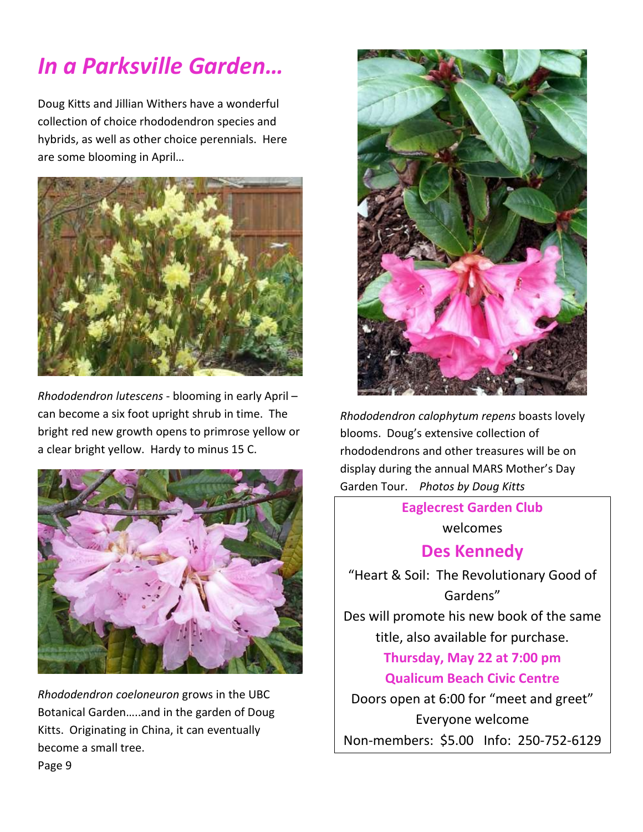## *In a Parksville Garden…*

Doug Kitts and Jillian Withers have a wonderful collection of choice rhododendron species and hybrids, as well as other choice perennials. Here are some blooming in April…



*Rhododendron lutescens* - blooming in early April – can become a six foot upright shrub in time. The bright red new growth opens to primrose yellow or a clear bright yellow. Hardy to minus 15 C.



*Rhododendron coeloneuron* grows in the UBC Botanical Garden…..and in the garden of Doug Kitts. Originating in China, it can eventually become a small tree.



*Rhododendron calophytum repens* boasts lovely blooms. Doug's extensive collection of rhododendrons and other treasures will be on display during the annual MARS Mother's Day Garden Tour. *Photos by Doug Kitts* 

> **Eaglecrest Garden Club**  welcomes

### **Des Kennedy**

"Heart & Soil: The Revolutionary Good of Gardens" Des will promote his new book of the same title, also available for purchase. **Thursday, May 22 at 7:00 pm Qualicum Beach Civic Centre**  Doors open at 6:00 for "meet and greet"

Everyone welcome Non-members: \$5.00 Info: 250-752-6129

Page 9